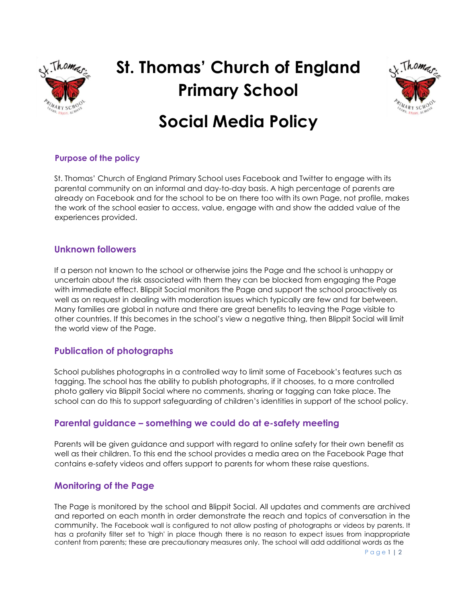

# **St. Thomas' Church of England Primary School**



# **Social Media Policy**

## **Purpose of the policy**

St. Thomas' Church of England Primary School uses Facebook and Twitter to engage with its parental community on an informal and day-to-day basis. A high percentage of parents are already on Facebook and for the school to be on there too with its own Page, not profile, makes the work of the school easier to access, value, engage with and show the added value of the experiences provided.

## **Unknown followers**

If a person not known to the school or otherwise joins the Page and the school is unhappy or uncertain about the risk associated with them they can be blocked from engaging the Page with immediate effect. Blippit Social monitors the Page and support the school proactively as well as on request in dealing with moderation issues which typically are few and far between. Many families are global in nature and there are great benefits to leaving the Page visible to other countries. If this becomes in the school's view a negative thing, then Blippit Social will limit the world view of the Page.

# **Publication of photographs**

School publishes photographs in a controlled way to limit some of Facebook's features such as tagging. The school has the ability to publish photographs, if it chooses, to a more controlled photo gallery via Blippit Social where no comments, sharing or tagging can take place. The school can do this to support safeguarding of children's identities in support of the school policy.

# **Parental guidance – something we could do at e-safety meeting**

Parents will be given guidance and support with regard to online safety for their own benefit as well as their children. To this end the school provides a media area on the Facebook Page that contains e-safety videos and offers support to parents for whom these raise questions.

# **Monitoring of the Page**

The Page is monitored by the school and Blippit Social. All updates and comments are archived and reported on each month in order demonstrate the reach and topics of conversation in the community. The Facebook wall is configured to not allow posting of photographs or videos by parents. It has a profanity filter set to 'high' in place though there is no reason to expect issues from inappropriate content from parents; these are precautionary measures only. The school will add additional words as the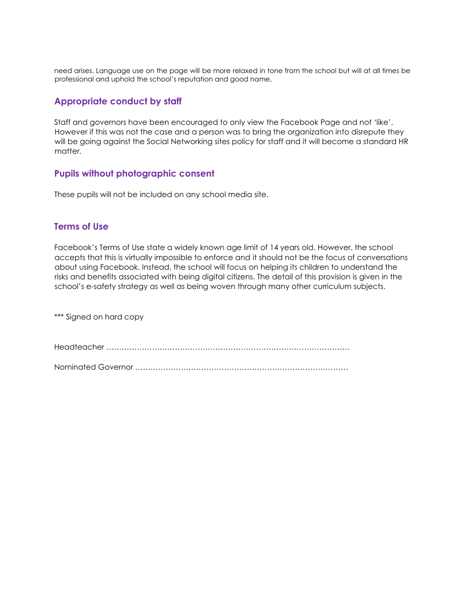need arises. Language use on the page will be more relaxed in tone from the school but will at all times be professional and uphold the school's reputation and good name.

#### **Appropriate conduct by staff**

Staff and governors have been encouraged to only view the Facebook Page and not 'like'. However if this was not the case and a person was to bring the organization into disrepute they will be going against the Social Networking sites policy for staff and it will become a standard HR matter.

## **Pupils without photographic consent**

These pupils will not be included on any school media site.

#### **Terms of Use**

Facebook's Terms of Use state a widely known age limit of 14 years old. However, the school accepts that this is virtually impossible to enforce and it should not be the focus of conversations about using Facebook. Instead, the school will focus on helping its children to understand the risks and benefits associated with being digital citizens. The detail of this provision is given in the school's e-safety strategy as well as being woven through many other curriculum subjects.

\*\*\* Signed on hard copy

Headteacher ……………………………………………………………………………………

Nominated Governor …………………………………………………………………………